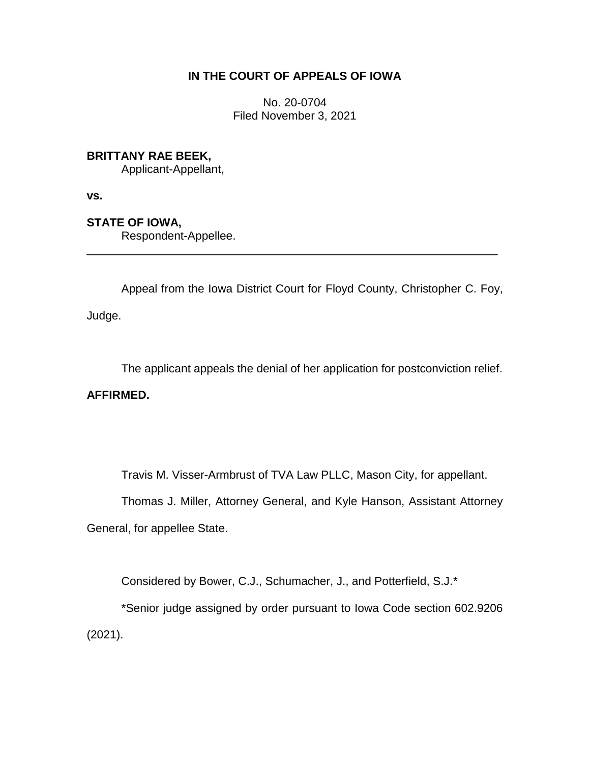### **IN THE COURT OF APPEALS OF IOWA**

No. 20-0704 Filed November 3, 2021

### **BRITTANY RAE BEEK,**

Applicant-Appellant,

**vs.**

# **STATE OF IOWA,**

Respondent-Appellee.

Appeal from the Iowa District Court for Floyd County, Christopher C. Foy, Judge.

\_\_\_\_\_\_\_\_\_\_\_\_\_\_\_\_\_\_\_\_\_\_\_\_\_\_\_\_\_\_\_\_\_\_\_\_\_\_\_\_\_\_\_\_\_\_\_\_\_\_\_\_\_\_\_\_\_\_\_\_\_\_\_\_

The applicant appeals the denial of her application for postconviction relief.

## **AFFIRMED.**

Travis M. Visser-Armbrust of TVA Law PLLC, Mason City, for appellant.

Thomas J. Miller, Attorney General, and Kyle Hanson, Assistant Attorney

General, for appellee State.

Considered by Bower, C.J., Schumacher, J., and Potterfield, S.J.\*

\*Senior judge assigned by order pursuant to Iowa Code section 602.9206 (2021).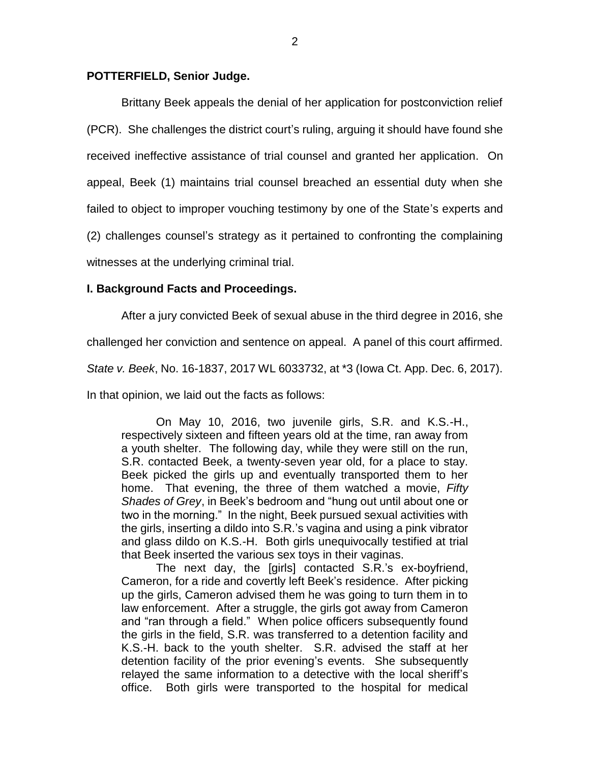### **POTTERFIELD, Senior Judge.**

Brittany Beek appeals the denial of her application for postconviction relief (PCR). She challenges the district court's ruling, arguing it should have found she received ineffective assistance of trial counsel and granted her application. On appeal, Beek (1) maintains trial counsel breached an essential duty when she failed to object to improper vouching testimony by one of the State's experts and (2) challenges counsel's strategy as it pertained to confronting the complaining

witnesses at the underlying criminal trial.

### **I. Background Facts and Proceedings.**

After a jury convicted Beek of sexual abuse in the third degree in 2016, she

challenged her conviction and sentence on appeal. A panel of this court affirmed.

*State v. Beek*, No. 16-1837, 2017 WL 6033732, at \*3 (Iowa Ct. App. Dec. 6, 2017).

In that opinion, we laid out the facts as follows:

On May 10, 2016, two juvenile girls, S.R. and K.S.-H., respectively sixteen and fifteen years old at the time, ran away from a youth shelter. The following day, while they were still on the run, S.R. contacted Beek, a twenty-seven year old, for a place to stay. Beek picked the girls up and eventually transported them to her home. That evening, the three of them watched a movie, *Fifty Shades of Grey*, in Beek's bedroom and "hung out until about one or two in the morning." In the night, Beek pursued sexual activities with the girls, inserting a dildo into S.R.'s vagina and using a pink vibrator and glass dildo on K.S.-H. Both girls unequivocally testified at trial that Beek inserted the various sex toys in their vaginas.

The next day, the [girls] contacted S.R.'s ex-boyfriend, Cameron, for a ride and covertly left Beek's residence. After picking up the girls, Cameron advised them he was going to turn them in to law enforcement. After a struggle, the girls got away from Cameron and "ran through a field." When police officers subsequently found the girls in the field, S.R. was transferred to a detention facility and K.S.-H. back to the youth shelter. S.R. advised the staff at her detention facility of the prior evening's events. She subsequently relayed the same information to a detective with the local sheriff's office. Both girls were transported to the hospital for medical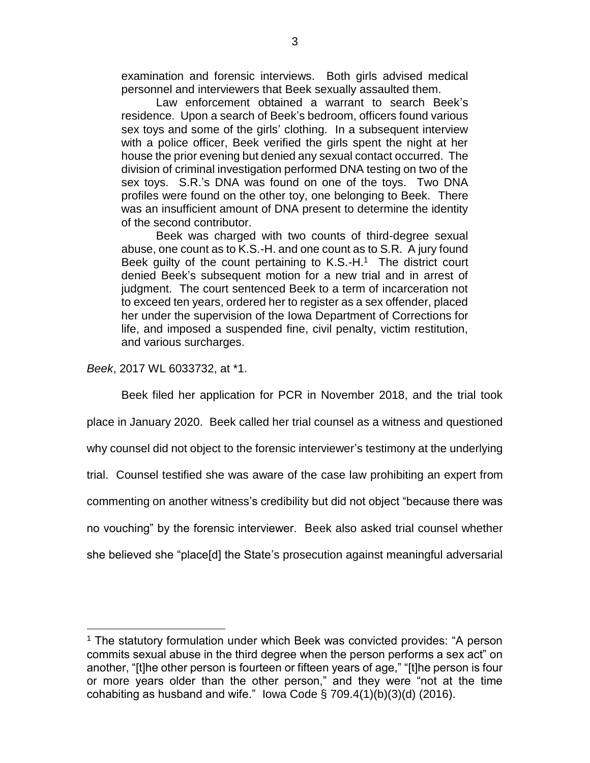examination and forensic interviews. Both girls advised medical personnel and interviewers that Beek sexually assaulted them.

Law enforcement obtained a warrant to search Beek's residence. Upon a search of Beek's bedroom, officers found various sex toys and some of the girls' clothing. In a subsequent interview with a police officer, Beek verified the girls spent the night at her house the prior evening but denied any sexual contact occurred. The division of criminal investigation performed DNA testing on two of the sex toys. S.R.'s DNA was found on one of the toys. Two DNA profiles were found on the other toy, one belonging to Beek. There was an insufficient amount of DNA present to determine the identity of the second contributor.

Beek was charged with two counts of third-degree sexual abuse, one count as to K.S.-H. and one count as to S.R. A jury found Beek guilty of the count pertaining to  $K.S.-H.^1$  The district court denied Beek's subsequent motion for a new trial and in arrest of judgment. The court sentenced Beek to a term of incarceration not to exceed ten years, ordered her to register as a sex offender, placed her under the supervision of the Iowa Department of Corrections for life, and imposed a suspended fine, civil penalty, victim restitution, and various surcharges.

*Beek*, 2017 WL 6033732, at \*1.

 $\overline{a}$ 

Beek filed her application for PCR in November 2018, and the trial took place in January 2020. Beek called her trial counsel as a witness and questioned why counsel did not object to the forensic interviewer's testimony at the underlying trial. Counsel testified she was aware of the case law prohibiting an expert from commenting on another witness's credibility but did not object "because there was no vouching" by the forensic interviewer. Beek also asked trial counsel whether she believed she "place[d] the State's prosecution against meaningful adversarial

<sup>&</sup>lt;sup>1</sup> The statutory formulation under which Beek was convicted provides: "A person commits sexual abuse in the third degree when the person performs a sex act" on another, "[t]he other person is fourteen or fifteen years of age," "[t]he person is four or more years older than the other person," and they were "not at the time cohabiting as husband and wife." lowa Code  $\S$  709.4(1)(b)(3)(d) (2016).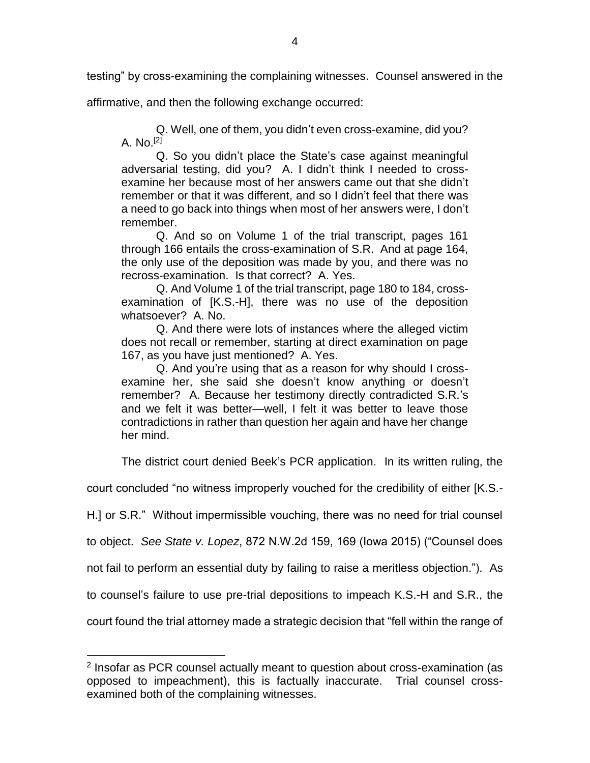testing" by cross-examining the complaining witnesses. Counsel answered in the

affirmative, and then the following exchange occurred:

Q. Well, one of them, you didn't even cross-examine, did you? A.  $No.$   $[2]$ 

Q. So you didn't place the State's case against meaningful adversarial testing, did you? A. I didn't think I needed to crossexamine her because most of her answers came out that she didn't remember or that it was different, and so I didn't feel that there was a need to go back into things when most of her answers were, I don't remember.

Q. And so on Volume 1 of the trial transcript, pages 161 through 166 entails the cross-examination of S.R. And at page 164, the only use of the deposition was made by you, and there was no recross-examination. Is that correct? A. Yes.

Q. And Volume 1 of the trial transcript, page 180 to 184, crossexamination of [K.S.-H], there was no use of the deposition whatsoever? A. No.

Q. And there were lots of instances where the alleged victim does not recall or remember, starting at direct examination on page 167, as you have just mentioned? A. Yes.

Q. And you're using that as a reason for why should I crossexamine her, she said she doesn't know anything or doesn't remember? A. Because her testimony directly contradicted S.R.'s and we felt it was better—well, I felt it was better to leave those contradictions in rather than question her again and have her change her mind.

The district court denied Beek's PCR application. In its written ruling, the

court concluded "no witness improperly vouched for the credibility of either [K.S.-

H.] or S.R." Without impermissible vouching, there was no need for trial counsel

to object. *See State v. Lopez*, 872 N.W.2d 159, 169 (Iowa 2015) ("Counsel does

not fail to perform an essential duty by failing to raise a meritless objection."). As

to counsel's failure to use pre-trial depositions to impeach K.S.-H and S.R., the

court found the trial attorney made a strategic decision that "fell within the range of

 $\overline{a}$ 

<sup>&</sup>lt;sup>2</sup> Insofar as PCR counsel actually meant to question about cross-examination (as opposed to impeachment), this is factually inaccurate. Trial counsel crossexamined both of the complaining witnesses.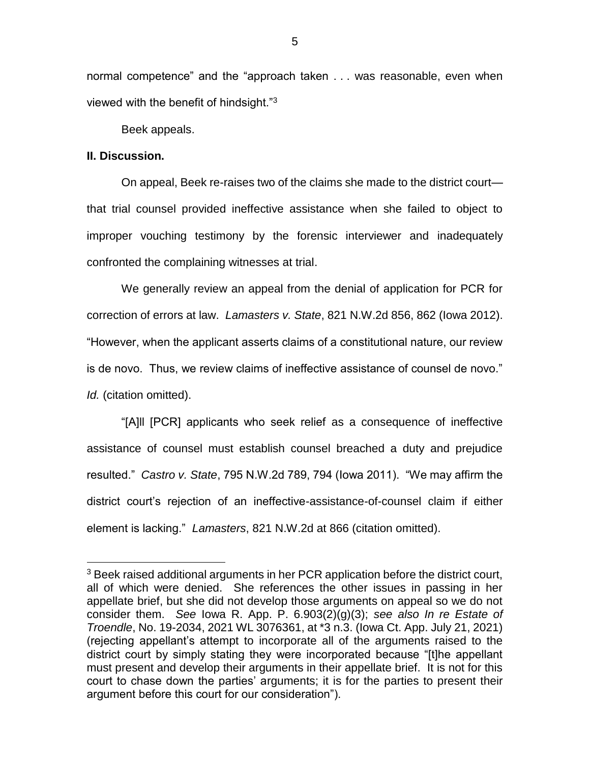normal competence" and the "approach taken . . . was reasonable, even when viewed with the benefit of hindsight."<sup>3</sup>

Beek appeals.

### **II. Discussion.**

 $\overline{a}$ 

On appeal, Beek re-raises two of the claims she made to the district court that trial counsel provided ineffective assistance when she failed to object to improper vouching testimony by the forensic interviewer and inadequately confronted the complaining witnesses at trial.

We generally review an appeal from the denial of application for PCR for correction of errors at law. *Lamasters v. State*, 821 N.W.2d 856, 862 (Iowa 2012). "However, when the applicant asserts claims of a constitutional nature, our review is de novo. Thus, we review claims of ineffective assistance of counsel de novo." *Id.* (citation omitted).

"[A]ll [PCR] applicants who seek relief as a consequence of ineffective assistance of counsel must establish counsel breached a duty and prejudice resulted." *Castro v. State*, 795 N.W.2d 789, 794 (Iowa 2011). "We may affirm the district court's rejection of an ineffective-assistance-of-counsel claim if either element is lacking." *Lamasters*, 821 N.W.2d at 866 (citation omitted).

<sup>&</sup>lt;sup>3</sup> Beek raised additional arguments in her PCR application before the district court, all of which were denied. She references the other issues in passing in her appellate brief, but she did not develop those arguments on appeal so we do not consider them. *See* Iowa R. App. P. 6.903(2)(g)(3); *see also In re Estate of Troendle*, No. 19-2034, 2021 WL 3076361, at \*3 n.3. (Iowa Ct. App. July 21, 2021) (rejecting appellant's attempt to incorporate all of the arguments raised to the district court by simply stating they were incorporated because "[t]he appellant must present and develop their arguments in their appellate brief. It is not for this court to chase down the parties' arguments; it is for the parties to present their argument before this court for our consideration").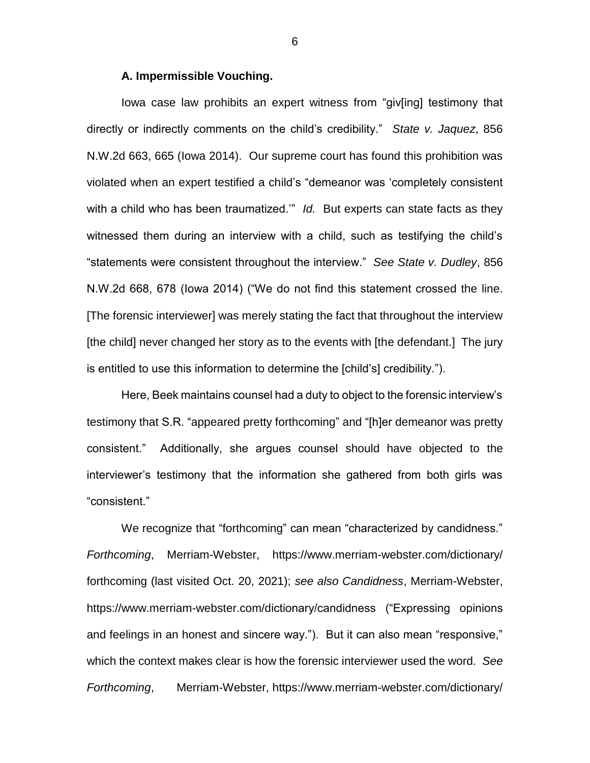#### **A. Impermissible Vouching.**

Iowa case law prohibits an expert witness from "giv[ing] testimony that directly or indirectly comments on the child's credibility." *State v. Jaquez*, 856 N.W.2d 663, 665 (Iowa 2014). Our supreme court has found this prohibition was violated when an expert testified a child's "demeanor was 'completely consistent with a child who has been traumatized.'" *Id.* But experts can state facts as they witnessed them during an interview with a child, such as testifying the child's "statements were consistent throughout the interview." *See State v. Dudley*, 856 N.W.2d 668, 678 (Iowa 2014) ("We do not find this statement crossed the line. [The forensic interviewer] was merely stating the fact that throughout the interview [the child] never changed her story as to the events with [the defendant.] The jury is entitled to use this information to determine the [child's] credibility.").

Here, Beek maintains counsel had a duty to object to the forensic interview's testimony that S.R. "appeared pretty forthcoming" and "[h]er demeanor was pretty consistent." Additionally, she argues counsel should have objected to the interviewer's testimony that the information she gathered from both girls was "consistent."

We recognize that "forthcoming" can mean "characterized by candidness." *Forthcoming*, Merriam-Webster, https://www.merriam-webster.com/dictionary/ forthcoming (last visited Oct. 20, 2021); *see also Candidness*, Merriam-Webster, https://www.merriam-webster.com/dictionary/candidness ("Expressing opinions and feelings in an honest and sincere way."). But it can also mean "responsive," which the context makes clear is how the forensic interviewer used the word. *See Forthcoming*, Merriam-Webster, https://www.merriam-webster.com/dictionary/

6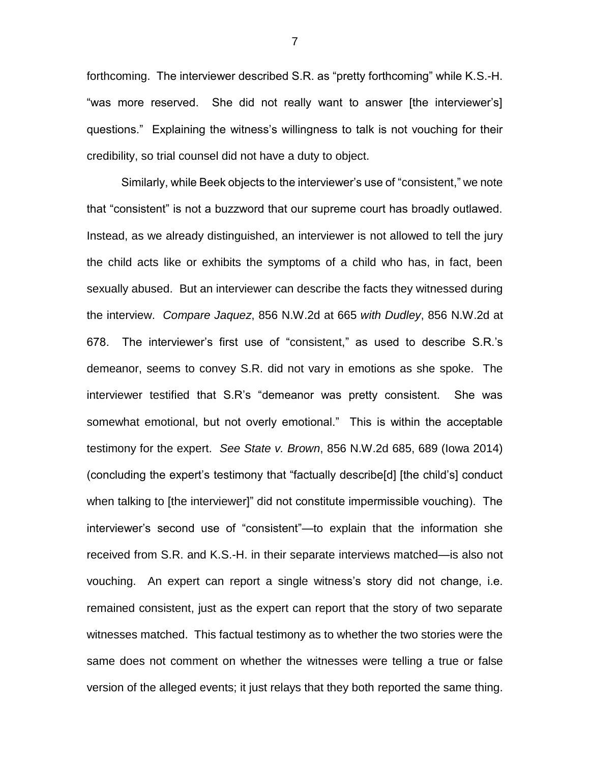forthcoming. The interviewer described S.R. as "pretty forthcoming" while K.S.-H. "was more reserved. She did not really want to answer [the interviewer's] questions." Explaining the witness's willingness to talk is not vouching for their credibility, so trial counsel did not have a duty to object.

Similarly, while Beek objects to the interviewer's use of "consistent," we note that "consistent" is not a buzzword that our supreme court has broadly outlawed. Instead, as we already distinguished, an interviewer is not allowed to tell the jury the child acts like or exhibits the symptoms of a child who has, in fact, been sexually abused. But an interviewer can describe the facts they witnessed during the interview. *Compare Jaquez*, 856 N.W.2d at 665 *with Dudley*, 856 N.W.2d at 678. The interviewer's first use of "consistent," as used to describe S.R.'s demeanor, seems to convey S.R. did not vary in emotions as she spoke. The interviewer testified that S.R's "demeanor was pretty consistent. She was somewhat emotional, but not overly emotional." This is within the acceptable testimony for the expert. *See State v. Brown*, 856 N.W.2d 685, 689 (Iowa 2014) (concluding the expert's testimony that "factually describe[d] [the child's] conduct when talking to [the interviewer]" did not constitute impermissible vouching). The interviewer's second use of "consistent"—to explain that the information she received from S.R. and K.S.-H. in their separate interviews matched—is also not vouching. An expert can report a single witness's story did not change, i.e. remained consistent, just as the expert can report that the story of two separate witnesses matched. This factual testimony as to whether the two stories were the same does not comment on whether the witnesses were telling a true or false version of the alleged events; it just relays that they both reported the same thing.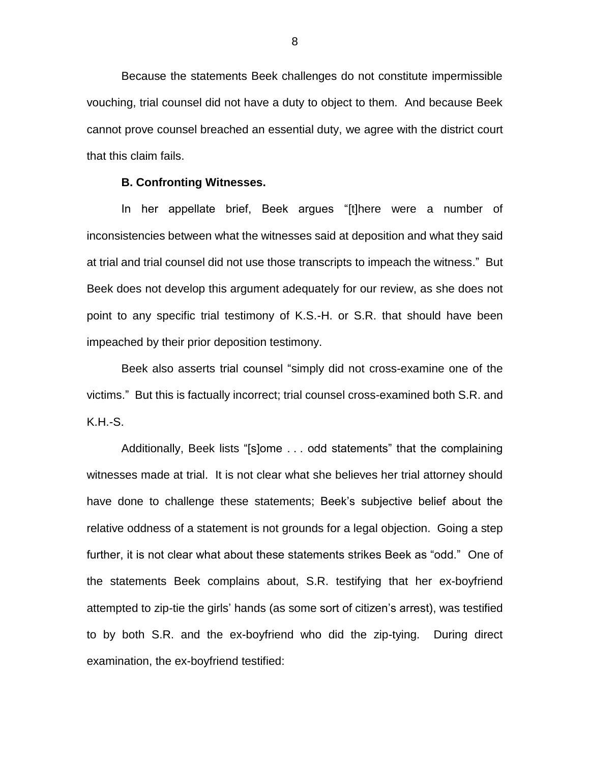Because the statements Beek challenges do not constitute impermissible vouching, trial counsel did not have a duty to object to them. And because Beek cannot prove counsel breached an essential duty, we agree with the district court that this claim fails.

#### **B. Confronting Witnesses.**

In her appellate brief, Beek argues "[t]here were a number of inconsistencies between what the witnesses said at deposition and what they said at trial and trial counsel did not use those transcripts to impeach the witness." But Beek does not develop this argument adequately for our review, as she does not point to any specific trial testimony of K.S.-H. or S.R. that should have been impeached by their prior deposition testimony.

Beek also asserts trial counsel "simply did not cross-examine one of the victims." But this is factually incorrect; trial counsel cross-examined both S.R. and K.H.-S.

Additionally, Beek lists "[s]ome . . . odd statements" that the complaining witnesses made at trial. It is not clear what she believes her trial attorney should have done to challenge these statements; Beek's subjective belief about the relative oddness of a statement is not grounds for a legal objection. Going a step further, it is not clear what about these statements strikes Beek as "odd." One of the statements Beek complains about, S.R. testifying that her ex-boyfriend attempted to zip-tie the girls' hands (as some sort of citizen's arrest), was testified to by both S.R. and the ex-boyfriend who did the zip-tying. During direct examination, the ex-boyfriend testified: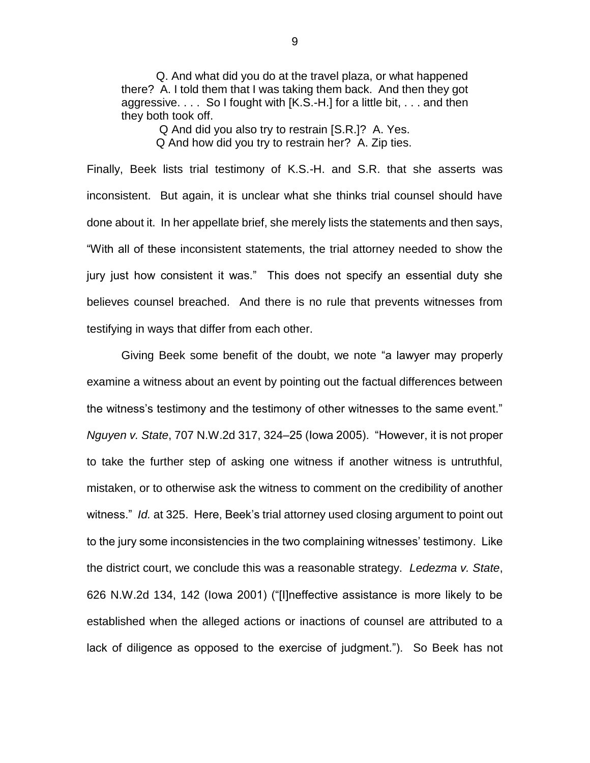Q. And what did you do at the travel plaza, or what happened there? A. I told them that I was taking them back. And then they got aggressive. . . . So I fought with [K.S.-H.] for a little bit, . . . and then they both took off.

> Q And did you also try to restrain [S.R.]? A. Yes. Q And how did you try to restrain her? A. Zip ties.

Finally, Beek lists trial testimony of K.S.-H. and S.R. that she asserts was inconsistent. But again, it is unclear what she thinks trial counsel should have done about it. In her appellate brief, she merely lists the statements and then says, "With all of these inconsistent statements, the trial attorney needed to show the jury just how consistent it was." This does not specify an essential duty she believes counsel breached. And there is no rule that prevents witnesses from testifying in ways that differ from each other.

Giving Beek some benefit of the doubt, we note "a lawyer may properly examine a witness about an event by pointing out the factual differences between the witness's testimony and the testimony of other witnesses to the same event." *Nguyen v. State*, 707 N.W.2d 317, 324–25 (Iowa 2005). "However, it is not proper to take the further step of asking one witness if another witness is untruthful, mistaken, or to otherwise ask the witness to comment on the credibility of another witness." *Id.* at 325. Here, Beek's trial attorney used closing argument to point out to the jury some inconsistencies in the two complaining witnesses' testimony. Like the district court, we conclude this was a reasonable strategy. *Ledezma v. State*, 626 N.W.2d 134, 142 (Iowa 2001) ("[I]neffective assistance is more likely to be established when the alleged actions or inactions of counsel are attributed to a lack of diligence as opposed to the exercise of judgment."). So Beek has not